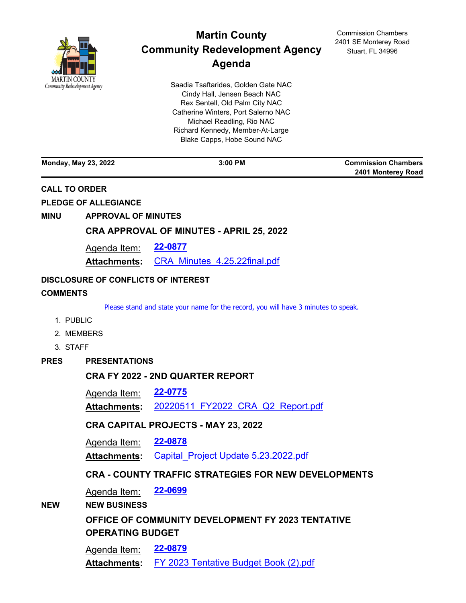| Community Redevelopment Agency      |                                                                                     | <b>Martin County</b><br><b>Community Redevelopment Agency</b><br>Agenda<br>Saadia Tsaftarides, Golden Gate NAC<br>Cindy Hall, Jensen Beach NAC                        | <b>Commission Chambers</b><br>2401 SE Monterey Road<br>Stuart, FL 34996 |  |
|-------------------------------------|-------------------------------------------------------------------------------------|-----------------------------------------------------------------------------------------------------------------------------------------------------------------------|-------------------------------------------------------------------------|--|
|                                     |                                                                                     | Rex Sentell, Old Palm City NAC<br>Catherine Winters, Port Salerno NAC<br>Michael Readling, Rio NAC<br>Richard Kennedy, Member-At-Large<br>Blake Capps, Hobe Sound NAC |                                                                         |  |
| <b>Monday, May 23, 2022</b>         |                                                                                     | 3:00 PM                                                                                                                                                               | <b>Commission Chambers</b><br>2401 Monterey Road                        |  |
| <b>CALL TO ORDER</b><br>MINU        | <b>PLEDGE OF ALLEGIANCE</b><br><b>APPROVAL OF MINUTES</b>                           |                                                                                                                                                                       |                                                                         |  |
|                                     | Agenda Item:<br><b>Attachments:</b>                                                 | <b>CRA APPROVAL OF MINUTES - APRIL 25, 2022</b><br><u>22-0877</u><br>CRA Minutes 4.25.22final.pdf                                                                     |                                                                         |  |
| <b>COMMENTS</b>                     |                                                                                     | DISCLOSURE OF CONFLICTS OF INTEREST                                                                                                                                   |                                                                         |  |
| 1. PUBLIC<br>2. MEMBERS<br>3. STAFF |                                                                                     | Please stand and state your name for the record, you will have 3 minutes to speak.                                                                                    |                                                                         |  |
| PRES                                | <b>PRESENTATIONS</b><br><b>CRA FY 2022 - 2ND QUARTER REPORT</b>                     |                                                                                                                                                                       |                                                                         |  |
|                                     | <u>Agenda Item:</u><br><u> Attachments:</u>                                         | 22-0775<br>20220511 FY2022 CRA Q2 Report.pdf                                                                                                                          |                                                                         |  |
|                                     |                                                                                     | <b>CRA CAPITAL PROJECTS - MAY 23, 2022</b>                                                                                                                            |                                                                         |  |
|                                     | Agenda Item:<br><b>Attachments:</b>                                                 | 22-0878<br>Capital Project Update 5.23.2022.pdf                                                                                                                       |                                                                         |  |
|                                     |                                                                                     | <b>CRA - COUNTY TRAFFIC STRATEGIES FOR NEW DEVELOPMENTS</b>                                                                                                           |                                                                         |  |
| NEW                                 | Agenda Item:<br><b>NEW BUSINESS</b>                                                 | 22-0699                                                                                                                                                               |                                                                         |  |
|                                     | <b>OFFICE OF COMMUNITY DEVELOPMENT FY 2023 TENTATIVE</b><br><b>OPERATING BUDGET</b> |                                                                                                                                                                       |                                                                         |  |
|                                     | <u>Agenda Item:</u>                                                                 | 22-0879<br>Attachments: FY 2023 Tentative Budget Book (2).pdf                                                                                                         |                                                                         |  |
|                                     |                                                                                     |                                                                                                                                                                       |                                                                         |  |